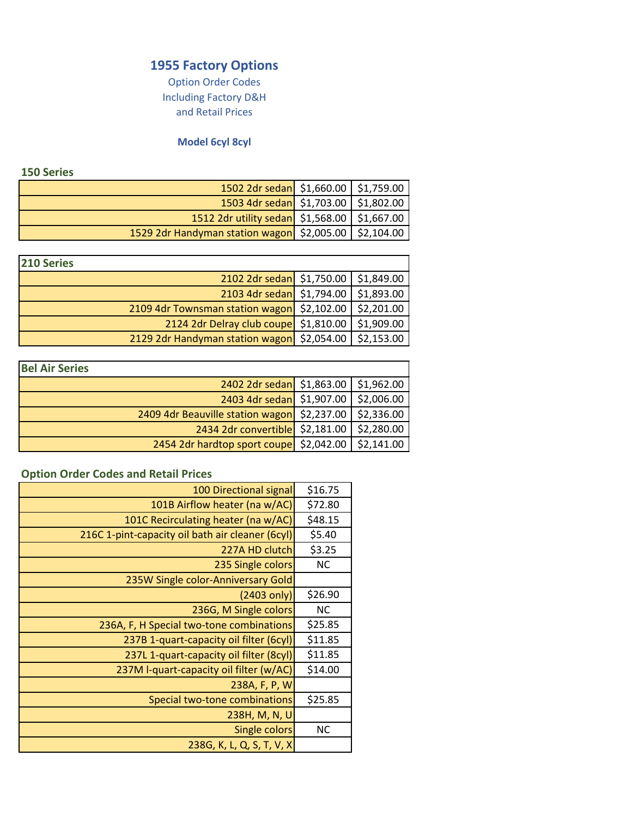# **1955 Factory Options**

Option Order Codes and Retail Prices Including Factory D&H

## **Model 6cyl 8cyl**

#### **150 Series**

| --------                                              |  |
|-------------------------------------------------------|--|
| 1502 2dr sedan \$1,660.00   \$1,759.00                |  |
| 1503 4dr sedan \$1,703.00 \$1,802.00                  |  |
| 1512 2dr utility sedan \$1,568.00 \$1,667.00          |  |
| 1529 2dr Handyman station wagon \$2,005.00 \$2,104.00 |  |

| 210 Series                                 |            |
|--------------------------------------------|------------|
| 2102 2dr sedan \$1,750.00 \$1,849.00       |            |
| 2103 4dr sedan \$1,794.00                  | \$1,893.00 |
| 2109 4dr Townsman station wagon \$2,102.00 | \$2,201.00 |
| 2124 2dr Delray club coupe \$1,810.00      | \$1,909.00 |
| 2129 2dr Handyman station wagon \$2,054.00 | \$2,153.00 |

| <b>Bel Air Series</b>                       |            |
|---------------------------------------------|------------|
| $2402$ 2dr sedan \$1,863.00 \$1,962.00      |            |
| 2403 4dr sedan \$1,907.00                   | \$2,006.00 |
| 2409 4dr Beauville station wagon \$2,237.00 | \$2,336.00 |
| 2434 2dr convertible \$2,181.00             | \$2,280.00 |
| 2454 2dr hardtop sport coupe \$2,042.00     | \$2,141.00 |

# **Option Order Codes and Retail Prices**

| Persia State Coaco and netally                   |           |
|--------------------------------------------------|-----------|
| 100 Directional signal                           | \$16.75   |
| 101B Airflow heater (na w/AC)                    | \$72.80   |
| 101C Recirculating heater (na w/AC)              | \$48.15   |
| 216C 1-pint-capacity oil bath air cleaner (6cyl) | \$5.40    |
| 227A HD clutch                                   | \$3.25    |
| 235 Single colors                                | <b>NC</b> |
| 235W Single color-Anniversary Gold               |           |
| $(2403 \text{ only})$                            | \$26.90   |
| 236G, M Single colors                            | <b>NC</b> |
| 236A, F, H Special two-tone combinations         | \$25.85   |
| 237B 1-quart-capacity oil filter (6cyl)          | \$11.85   |
| 237L 1-quart-capacity oil filter (8cyl)          | \$11.85   |
| 237M I-quart-capacity oil filter (w/AC)          | \$14.00   |
| 238A, F, P, W                                    |           |
| Special two-tone combinations                    | \$25.85   |
| 238H, M, N, U                                    |           |
| Single colors                                    | <b>NC</b> |
| 238G, K, L, Q, S, T, V, X                        |           |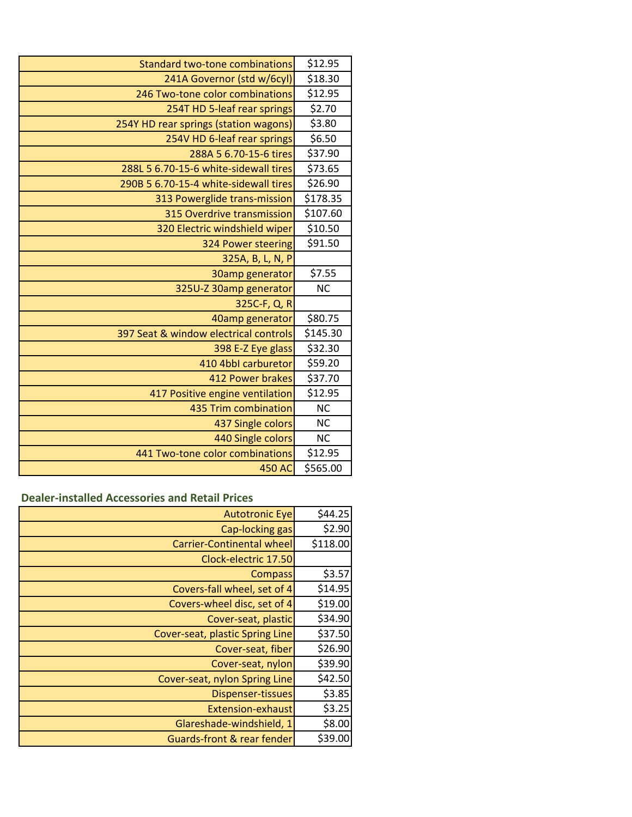| <b>Standard two-tone combinations</b> | \$12.95   |
|---------------------------------------|-----------|
| 241A Governor (std w/6cyl)            | \$18.30   |
| 246 Two-tone color combinations       | \$12.95   |
| 254T HD 5-leaf rear springs           | \$2.70    |
| 254Y HD rear springs (station wagons) | \$3.80    |
| 254V HD 6-leaf rear springs           | \$6.50    |
| 288A 5 6.70-15-6 tires                | \$37.90   |
| 288L 5 6.70-15-6 white-sidewall tires | \$73.65   |
| 290B 5 6.70-15-4 white-sidewall tires | \$26.90   |
| 313 Powerglide trans-mission          | \$178.35  |
| 315 Overdrive transmission            | \$107.60  |
| 320 Electric windshield wiper         | \$10.50   |
| 324 Power steering                    | \$91.50   |
| 325A, B, L, N, P                      |           |
| 30amp generator                       | \$7.55    |
| 325U-Z 30amp generator                | <b>NC</b> |
| 325C-F, Q, R                          |           |
| 40amp generator                       | \$80.75   |
| 397 Seat & window electrical controls | \$145.30  |
| 398 E-Z Eye glass                     | \$32.30   |
| 410 4bbl carburetor                   | \$59.20   |
| 412 Power brakes                      | \$37.70   |
| 417 Positive engine ventilation       | \$12.95   |
| 435 Trim combination                  | <b>NC</b> |
| 437 Single colors                     | <b>NC</b> |
| 440 Single colors                     | <b>NC</b> |
| 441 Two-tone color combinations       | \$12.95   |
| 450 AC                                | \$565.00  |

## **Dealer-installed Accessories and Retail Prices**

| <b>Autotronic Eye</b>                 | \$44.25  |
|---------------------------------------|----------|
| Cap-locking gas                       | \$2.90   |
| <b>Carrier-Continental wheel</b>      | \$118.00 |
| Clock-electric 17.50                  |          |
| <b>Compass</b>                        | \$3.57   |
| Covers-fall wheel, set of 4           | \$14.95  |
| Covers-wheel disc, set of 4           | \$19.00  |
| Cover-seat, plastic                   | \$34.90  |
| Cover-seat, plastic Spring Line       | \$37.50  |
| Cover-seat, fiber                     | \$26.90  |
| Cover-seat, nylon                     | \$39.90  |
| Cover-seat, nylon Spring Line         | \$42.50  |
| Dispenser-tissues                     | \$3.85   |
| <b>Extension-exhaust</b>              | \$3.25   |
| Glareshade-windshield, 1              | \$8.00   |
| <b>Guards-front &amp; rear fender</b> | \$39.00  |